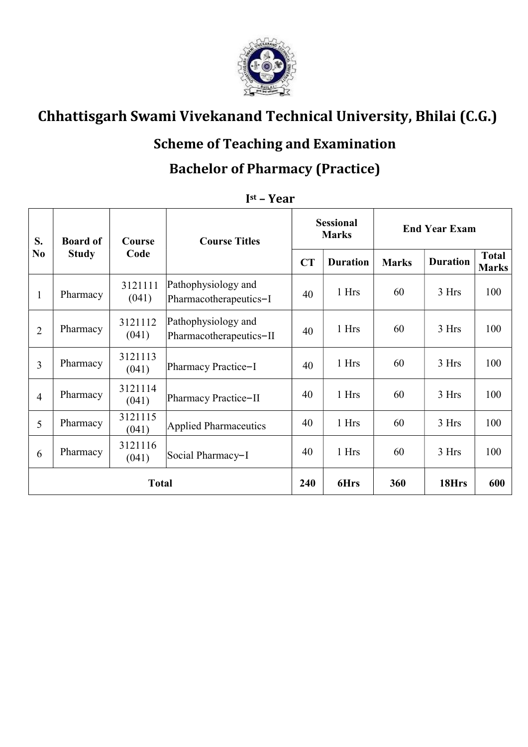

# Chhattisgarh Swami Vivekanand Technical University, Bhilai (C.G.)

#### Scheme of Teaching and Examination

#### Bachelor of Pharmacy (Practice)

| S.<br>N <sub>0</sub> | <b>Board of</b><br><b>Study</b> | Course<br>Code   | <b>Course Titles</b>                           | <b>Sessional</b><br><b>Marks</b> |                 | <b>End Year Exam</b> |                 |                              |
|----------------------|---------------------------------|------------------|------------------------------------------------|----------------------------------|-----------------|----------------------|-----------------|------------------------------|
|                      |                                 |                  |                                                | CT                               | <b>Duration</b> | <b>Marks</b>         | <b>Duration</b> | <b>Total</b><br><b>Marks</b> |
| 1                    | Pharmacy                        | 3121111<br>(041) | Pathophysiology and<br>Pharmacotherapeutics-I  | 40                               | 1 Hrs           | 60                   | 3 Hrs           | 100                          |
| $\overline{2}$       | Pharmacy                        | 3121112<br>(041) | Pathophysiology and<br>Pharmacotherapeutics-II | 40                               | 1 Hrs           | 60                   | 3 Hrs           | 100                          |
| $\overline{3}$       | Pharmacy                        | 3121113<br>(041) | Pharmacy Practice-I                            | 40                               | 1 Hrs           | 60                   | 3 Hrs           | 100                          |
| $\overline{4}$       | Pharmacy                        | 3121114<br>(041) | Pharmacy Practice-II                           | 40                               | 1 Hrs           | 60                   | 3 Hrs           | 100                          |
| 5                    | Pharmacy                        | 3121115<br>(041) | Applied Pharmaceutics                          | 40                               | 1 Hrs           | 60                   | 3 Hrs           | 100                          |
| 6                    | Pharmacy                        | 3121116<br>(041) | Social Pharmacy-I                              | 40                               | 1 Hrs           | 60                   | 3 Hrs           | 100                          |
| <b>Total</b>         |                                 |                  |                                                | 240                              | 6Hrs            | 360                  | 18Hrs           | 600                          |

#### I st – Year